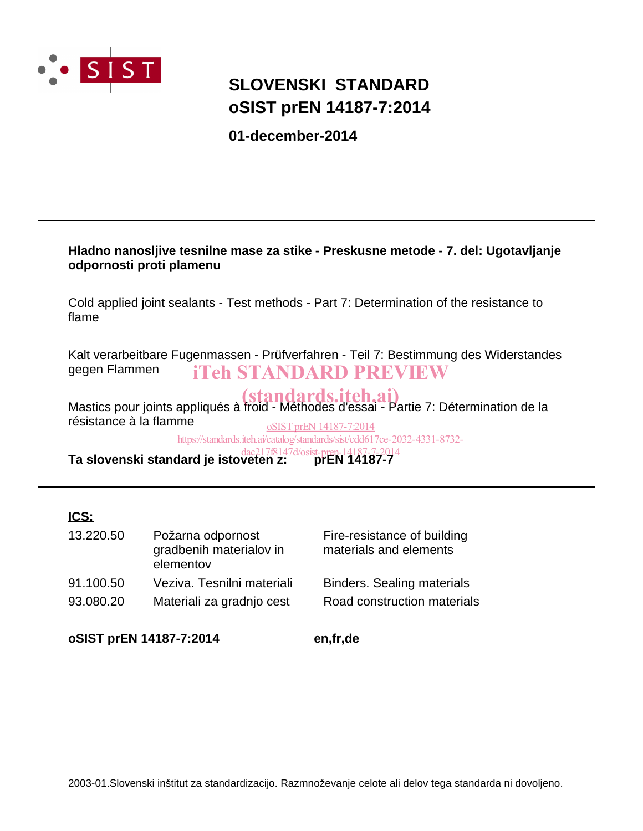

## **oSIST prEN 14187-7:2014 SLOVENSKI STANDARD**

**01-december-2014**

## **Hladno nanosljive tesnilne mase za stike - Preskusne metode - 7. del: Ugotavljanje odpornosti proti plamenu**

Cold applied joint sealants - Test methods - Part 7: Determination of the resistance to flame

Kalt verarbeitbare Fugenmassen - Prüfverfahren - Teil 7: Bestimmung des Widerstandes gegen Flammen iTeh STANDARD PREVIEW

Mastics pour joints appliqués à froid - Méthodes d'essai - Partie 7: Détermination de la résistance à la flamme oSIST prEN 14187-7:2014

https://standards.iteh.ai/catalog/standards/sist/cdd617ce-2032-4331-8732-

**Ta slovenski standard je istoveten z: prEN 14187-7** dac217f8147d/osist-pren-14187-7-2014

## **ICS:**

| 13.220.50 | Požarna odpornost<br>gradbenih materialov in<br>elementov | Fire-resistance of building<br>materials and elements |
|-----------|-----------------------------------------------------------|-------------------------------------------------------|
| 91.100.50 | Veziva. Tesnilni materiali                                | <b>Binders. Sealing materials</b>                     |
| 93.080.20 | Materiali za gradnjo cest                                 | Road construction materials                           |

**oSIST prEN 14187-7:2014 en,fr,de**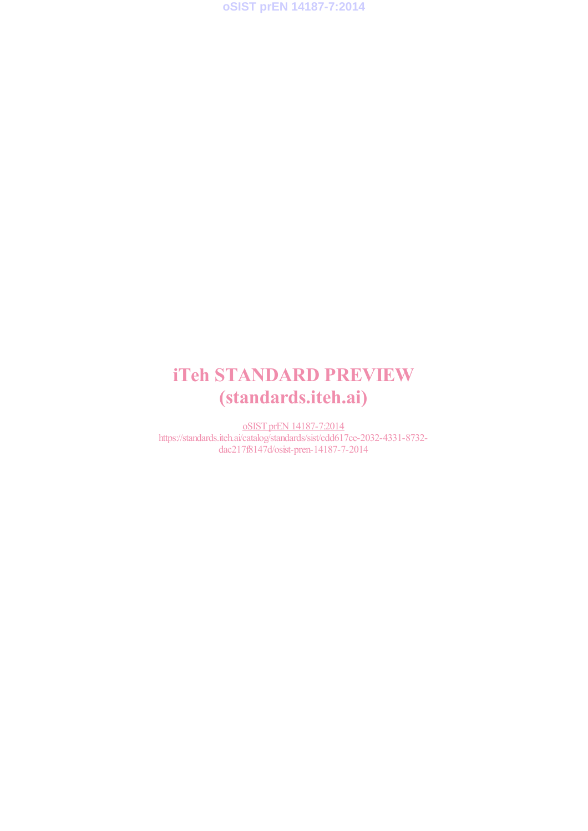**oSIST prEN 14187-7:2014**

## iTeh STANDARD PREVIEW (standards.iteh.ai)

oSIST prEN 14187-7:2014 https://standards.iteh.ai/catalog/standards/sist/cdd617ce-2032-4331-8732 dac217f8147d/osist-pren-14187-7-2014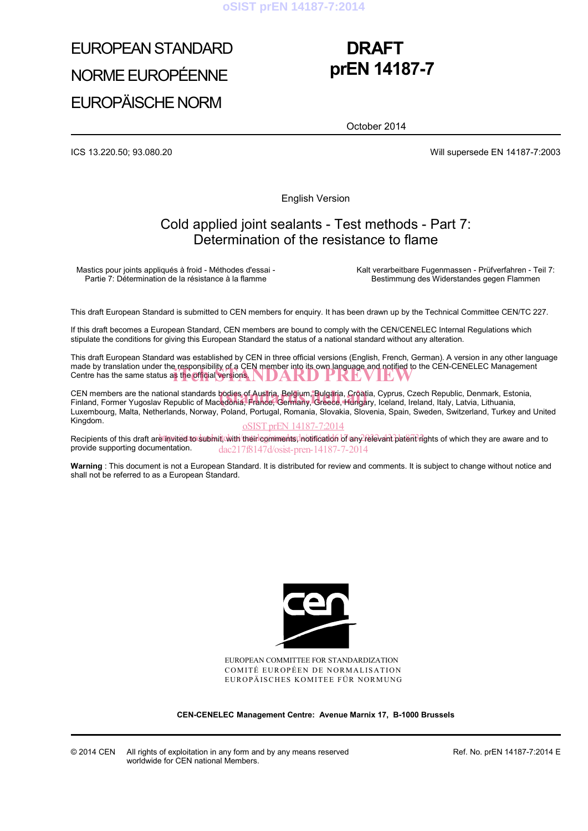# EUROPEAN STANDARD NORME EUROPÉENNE EUROPÄISCHE NORM

## **DRAFT prEN 14187-7**

October 2014

ICS 13.220.50; 93.080.20 Will supersede EN 14187-7:2003

English Version

## Cold applied joint sealants - Test methods - Part 7: Determination of the resistance to flame

Mastics pour joints appliqués à froid - Méthodes d'essai - Partie 7: Détermination de la résistance à la flamme

 Kalt verarbeitbare Fugenmassen - Prüfverfahren - Teil 7: Bestimmung des Widerstandes gegen Flammen

This draft European Standard is submitted to CEN members for enquiry. It has been drawn up by the Technical Committee CEN/TC 227.

If this draft becomes a European Standard, CEN members are bound to comply with the CEN/CENELEC Internal Regulations which stipulate the conditions for giving this European Standard the status of a national standard without any alteration.

This draft European Standard was established by CEN in three official versions (English, French, German). A version in any other language made by translation under the responsibility of a CEN member into its own language and notified to the CEN-CENELEC Management Centre has the same status as the official versions. Centre has the same status as the official versions.

CEN members are the national standards bodies of Austria, Belgium, Bulgaria, Croatia, Cyprus, Czech Republic, Denmark, Estonia, CEN members are the national standards bódies of Austria, Belgium, Bulgaria, Croatia, Cyprus, Czech Republic, Denmark, Esto<br>Finland, Former Yugoslav Republic of Macedonia, France, Germany, Greece, Hungary, Iceland, Ireland Luxembourg, Malta, Netherlands, Norway, Poland, Portugal, Romania, Slovakia, Slovenia, Spain, Sweden, Switzerland, Turkey and United Kingdom.

#### oSIST prEN 14187-7:2014

Recipients of this draft are lipvited to submit, with their comments, notification of any relevant patent rights of which they are aware and to provide supporting documentation. dac217f8147d/osist-pren-14187-7-2014

**Warning** : This document is not a European Standard. It is distributed for review and comments. It is subject to change without notice and shall not be referred to as a European Standard.



EUROPEAN COMMITTEE FOR STANDARDIZATION COMITÉ EUROPÉEN DE NORMALISATION EUROPÄISCHES KOMITEE FÜR NORMUNG

**CEN-CENELEC Management Centre: Avenue Marnix 17, B-1000 Brussels** 

Ref. No. prEN 14187-7:2014 E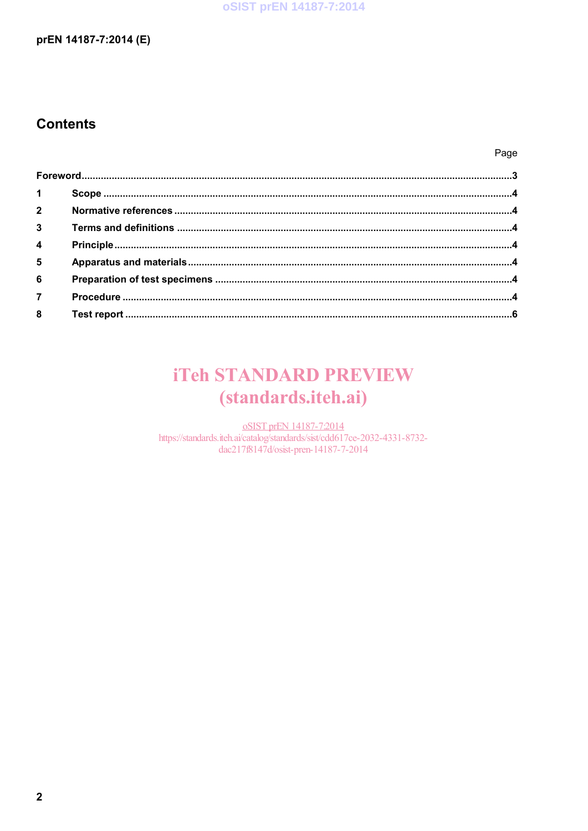## oSIST prEN 14187-7:2014

### prEN 14187-7:2014 (E)

## **Contents**

Page

| $1 \quad \blacksquare$ |  |
|------------------------|--|
|                        |  |
| $3^{\circ}$            |  |
| $\overline{4}$         |  |
| $5^{\circ}$            |  |
| 6 <sup>1</sup>         |  |
| $\overline{7}$         |  |
|                        |  |

## **iTeh STANDARD PREVIEW** (standards.iteh.ai)

oSIST prEN 14187-7:2014 https://standards.iteh.ai/catalog/standards/sist/cdd617ce-2032-4331-8732dac217f8147d/osist-pren-14187-7-2014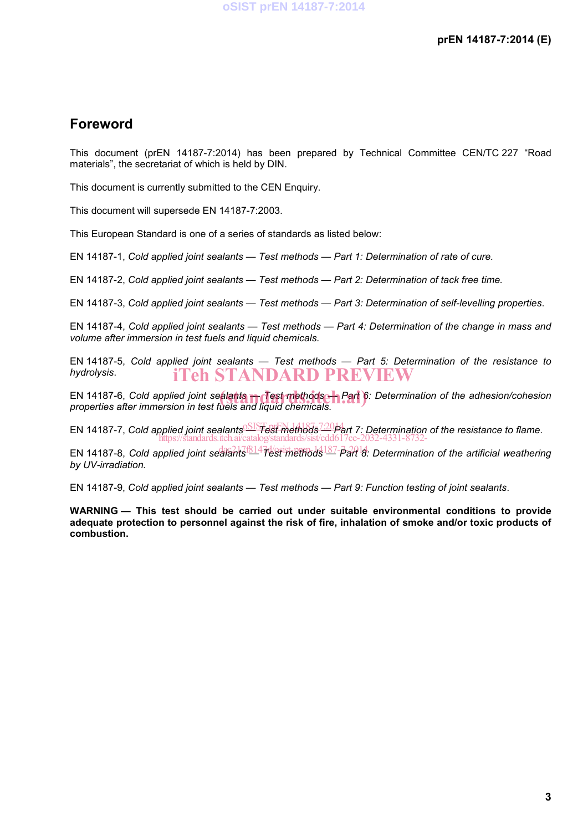## **Foreword**

This document (prEN 14187-7:2014) has been prepared by Technical Committee CEN/TC 227 "Road materials", the secretariat of which is held by DIN.

This document is currently submitted to the CEN Enquiry.

This document will supersede EN 14187-7:2003.

This European Standard is one of a series of standards as listed below:

EN 14187-1, *Cold applied joint sealants — Test methods — Part 1: Determination of rate of cure.*

EN 14187-2, *Cold applied joint sealants — Test methods — Part 2: Determination of tack free time.*

EN 14187-3, *Cold applied joint sealants — Test methods — Part 3: Determination of self-levelling properties*.

EN 14187-4, *Cold applied joint sealants — Test methods — Part 4: Determination of the change in mass and volume after immersion in test fuels and liquid chemicals.*

EN 14187-5, *Cold applied joint sealants — Test methods — Part 5: Determination of the resistance to hydrolysis*. iTeh STANDARD PREVIEW

EN 14187-6, *Cold applied joint sealants* **—** *Test methods — Part* **6**: Determination of the adhesion/cohesion<br>properties after immersion in test fuels and liquid chemicals. *properties after immersion in test fuels and liquid chemicals.*

EN 14187-7, Cold applied joint sealants SIST prest methods<sup>72014</sup>art 7: Determination of the resistance to flame. https://standards.iteh.ai/catalog/standards/sist/cdd617ce-2032-4331-8732-

EN 14187-8, *Cold applied joint sealants 814* test methods <sup>187-part 8. Determination of the artificial weathering</sup> *by UV-irradiation.*

EN 14187-9, *Cold applied joint sealants — Test methods — Part 9: Function testing of joint sealants*.

**WARNING — This test should be carried out under suitable environmental conditions to provide adequate protection to personnel against the risk of fire, inhalation of smoke and/or toxic products of combustion.**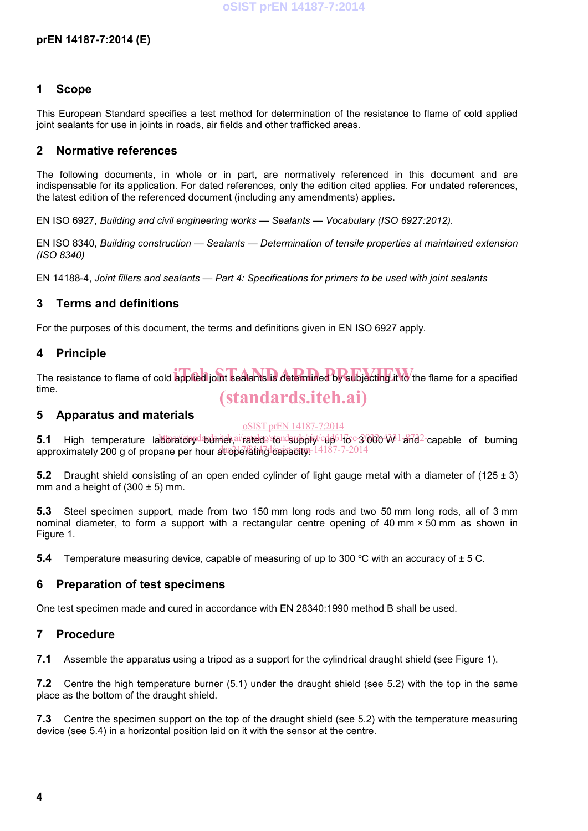### **1 Scope**

This European Standard specifies a test method for determination of the resistance to flame of cold applied joint sealants for use in joints in roads, air fields and other trafficked areas.

### **2 Normative references**

The following documents, in whole or in part, are normatively referenced in this document and are indispensable for its application. For dated references, only the edition cited applies. For undated references, the latest edition of the referenced document (including any amendments) applies.

EN ISO 6927, *Building and civil engineering works — Sealants — Vocabulary (ISO 6927:2012).*

EN ISO 8340, *Building construction — Sealants — Determination of tensile properties at maintained extension (ISO 8340)*

EN 14188-4, *Joint fillers and sealants — Part 4: Specifications for primers to be used with joint sealants*

## **3 Terms and definitions**

For the purposes of this document, the terms and definitions given in EN ISO 6927 apply.

### **4 Principle**

The resistance to flame of cold applied joint sealants is determined by subjecting it to the flame for a specified time.

## (standards.iteh.ai)

#### **5 Apparatus and materials**

#### oSIST prEN 14187-7:2014

**5.1** High temperature laboratorydadrider,ai/ratede/standsupply/cdp<sup>61</sup>toc-3000+W<sup>1</sup>and<sup>2</sup>-capable of burning approximately 200 g of propane per hour at operating capacity. 14187-7-2014

**5.2** Draught shield consisting of an open ended cylinder of light gauge metal with a diameter of (125 ± 3) mm and a height of  $(300 \pm 5)$  mm.

**5.3** Steel specimen support, made from two 150 mm long rods and two 50 mm long rods, all of 3 mm nominal diameter, to form a support with a rectangular centre opening of 40 mm × 50 mm as shown in Figure 1.

**5.4** Temperature measuring device, capable of measuring of up to 300 °C with an accuracy of  $\pm$  5 C.

### **6 Preparation of test specimens**

One test specimen made and cured in accordance with EN 28340:1990 method B shall be used.

#### **7 Procedure**

**7.1** Assemble the apparatus using a tripod as a support for the cylindrical draught shield (see Figure 1).

**7.2** Centre the high temperature burner (5.1) under the draught shield (see 5.2) with the top in the same place as the bottom of the draught shield.

**7.3** Centre the specimen support on the top of the draught shield (see 5.2) with the temperature measuring device (see 5.4) in a horizontal position laid on it with the sensor at the centre.